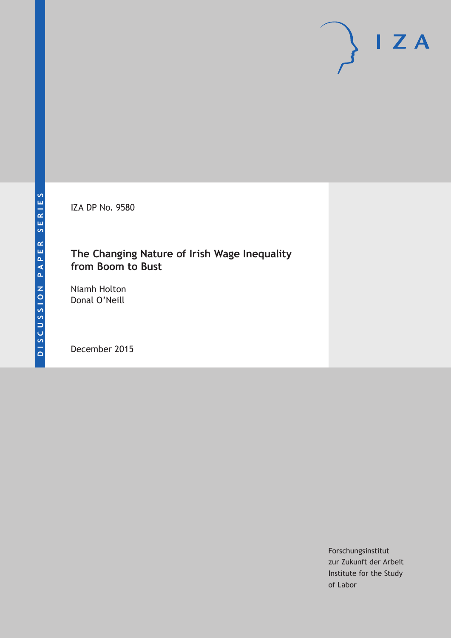IZA DP No. 9580

### **The Changing Nature of Irish Wage Inequality from Boom to Bust**

Niamh Holton Donal O'Neill

December 2015

Forschungsinstitut zur Zukunft der Arbeit Institute for the Study of Labor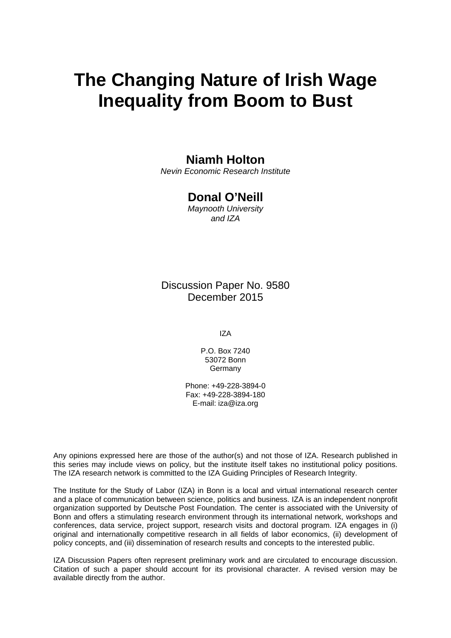# **The Changing Nature of Irish Wage Inequality from Boom to Bust**

### **Niamh Holton**

*Nevin Economic Research Institute* 

### **Donal O'Neill**

*Maynooth University and IZA* 

Discussion Paper No. 9580 December 2015

IZA

P.O. Box 7240 53072 Bonn **Germany** 

Phone: +49-228-3894-0 Fax: +49-228-3894-180 E-mail: iza@iza.org

Any opinions expressed here are those of the author(s) and not those of IZA. Research published in this series may include views on policy, but the institute itself takes no institutional policy positions. The IZA research network is committed to the IZA Guiding Principles of Research Integrity.

The Institute for the Study of Labor (IZA) in Bonn is a local and virtual international research center and a place of communication between science, politics and business. IZA is an independent nonprofit organization supported by Deutsche Post Foundation. The center is associated with the University of Bonn and offers a stimulating research environment through its international network, workshops and conferences, data service, project support, research visits and doctoral program. IZA engages in (i) original and internationally competitive research in all fields of labor economics, (ii) development of policy concepts, and (iii) dissemination of research results and concepts to the interested public.

IZA Discussion Papers often represent preliminary work and are circulated to encourage discussion. Citation of such a paper should account for its provisional character. A revised version may be available directly from the author.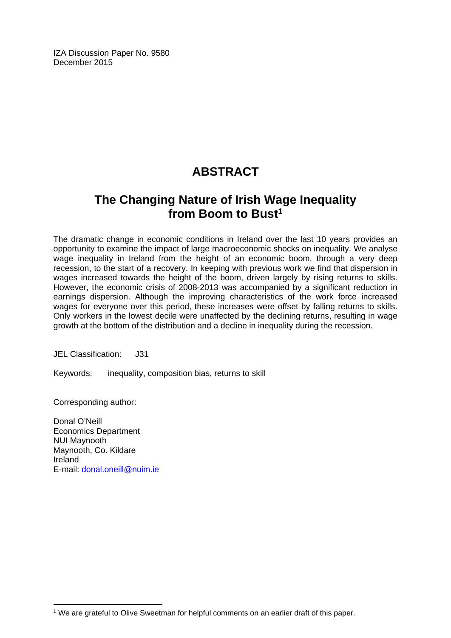IZA Discussion Paper No. 9580 December 2015

# **ABSTRACT**

## **The Changing Nature of Irish Wage Inequality**  from Boom to Bust<sup>1</sup>

The dramatic change in economic conditions in Ireland over the last 10 years provides an opportunity to examine the impact of large macroeconomic shocks on inequality. We analyse wage inequality in Ireland from the height of an economic boom, through a very deep recession, to the start of a recovery. In keeping with previous work we find that dispersion in wages increased towards the height of the boom, driven largely by rising returns to skills. However, the economic crisis of 2008-2013 was accompanied by a significant reduction in earnings dispersion. Although the improving characteristics of the work force increased wages for everyone over this period, these increases were offset by falling returns to skills. Only workers in the lowest decile were unaffected by the declining returns, resulting in wage growth at the bottom of the distribution and a decline in inequality during the recession.

JEL Classification: J31

Keywords: inequality, composition bias, returns to skill

Corresponding author:

 $\overline{a}$ 

Donal O'Neill Economics Department NUI Maynooth Maynooth, Co. Kildare Ireland E-mail: donal.oneill@nuim.ie

<sup>&</sup>lt;sup>1</sup> We are grateful to Olive Sweetman for helpful comments on an earlier draft of this paper.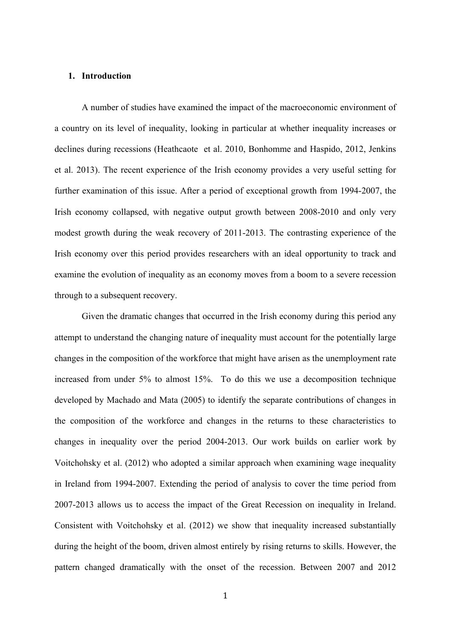#### **1. Introduction**

A number of studies have examined the impact of the macroeconomic environment of a country on its level of inequality, looking in particular at whether inequality increases or declines during recessions (Heathcaote et al. 2010, Bonhomme and Haspido, 2012, Jenkins et al. 2013). The recent experience of the Irish economy provides a very useful setting for further examination of this issue. After a period of exceptional growth from 1994-2007, the Irish economy collapsed, with negative output growth between 2008-2010 and only very modest growth during the weak recovery of 2011-2013. The contrasting experience of the Irish economy over this period provides researchers with an ideal opportunity to track and examine the evolution of inequality as an economy moves from a boom to a severe recession through to a subsequent recovery.

Given the dramatic changes that occurred in the Irish economy during this period any attempt to understand the changing nature of inequality must account for the potentially large changes in the composition of the workforce that might have arisen as the unemployment rate increased from under 5% to almost 15%. To do this we use a decomposition technique developed by Machado and Mata (2005) to identify the separate contributions of changes in the composition of the workforce and changes in the returns to these characteristics to changes in inequality over the period 2004-2013. Our work builds on earlier work by Voitchohsky et al. (2012) who adopted a similar approach when examining wage inequality in Ireland from 1994-2007. Extending the period of analysis to cover the time period from 2007-2013 allows us to access the impact of the Great Recession on inequality in Ireland. Consistent with Voitchohsky et al. (2012) we show that inequality increased substantially during the height of the boom, driven almost entirely by rising returns to skills. However, the pattern changed dramatically with the onset of the recession. Between 2007 and 2012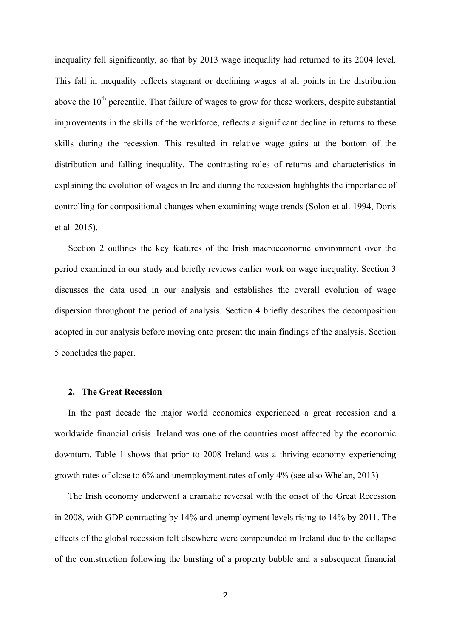inequality fell significantly, so that by 2013 wage inequality had returned to its 2004 level. This fall in inequality reflects stagnant or declining wages at all points in the distribution above the  $10<sup>th</sup>$  percentile. That failure of wages to grow for these workers, despite substantial improvements in the skills of the workforce, reflects a significant decline in returns to these skills during the recession. This resulted in relative wage gains at the bottom of the distribution and falling inequality. The contrasting roles of returns and characteristics in explaining the evolution of wages in Ireland during the recession highlights the importance of controlling for compositional changes when examining wage trends (Solon et al. 1994, Doris et al. 2015).

Section 2 outlines the key features of the Irish macroeconomic environment over the period examined in our study and briefly reviews earlier work on wage inequality. Section 3 discusses the data used in our analysis and establishes the overall evolution of wage dispersion throughout the period of analysis. Section 4 briefly describes the decomposition adopted in our analysis before moving onto present the main findings of the analysis. Section 5 concludes the paper.

#### **2. The Great Recession**

In the past decade the major world economies experienced a great recession and a worldwide financial crisis. Ireland was one of the countries most affected by the economic downturn. Table 1 shows that prior to 2008 Ireland was a thriving economy experiencing growth rates of close to 6% and unemployment rates of only 4% (see also Whelan, 2013)

The Irish economy underwent a dramatic reversal with the onset of the Great Recession in 2008, with GDP contracting by 14% and unemployment levels rising to 14% by 2011. The effects of the global recession felt elsewhere were compounded in Ireland due to the collapse of the contstruction following the bursting of a property bubble and a subsequent financial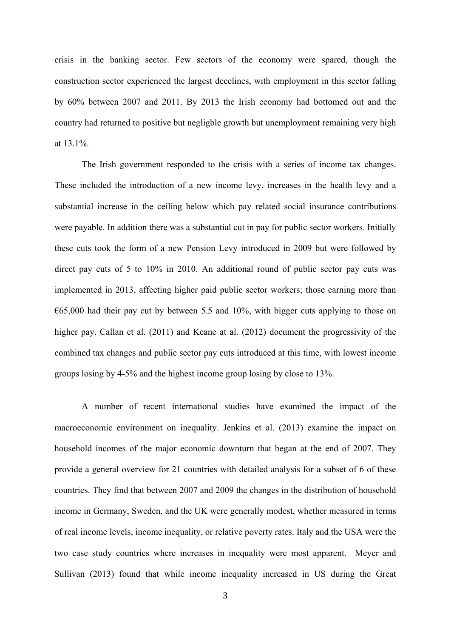crisis in the banking sector. Few sectors of the economy were spared, though the construction sector experienced the largest decelines, with employment in this sector falling by 60% between 2007 and 2011. By 2013 the Irish economy had bottomed out and the country had returned to positive but negligble growth but unemployment remaining very high at 13.1%.

The Irish government responded to the crisis with a series of income tax changes. These included the introduction of a new income levy, increases in the health levy and a substantial increase in the ceiling below which pay related social insurance contributions were payable. In addition there was a substantial cut in pay for public sector workers. Initially these cuts took the form of a new Pension Levy introduced in 2009 but were followed by direct pay cuts of 5 to 10% in 2010. An additional round of public sector pay cuts was implemented in 2013, affecting higher paid public sector workers; those earning more than  $\epsilon$ 65,000 had their pay cut by between 5.5 and 10%, with bigger cuts applying to those on higher pay. Callan et al. (2011) and Keane at al. (2012) document the progressivity of the combined tax changes and public sector pay cuts introduced at this time, with lowest income groups losing by 4-5% and the highest income group losing by close to 13%.

A number of recent international studies have examined the impact of the macroeconomic environment on inequality. Jenkins et al. (2013) examine the impact on household incomes of the major economic downturn that began at the end of 2007. They provide a general overview for 21 countries with detailed analysis for a subset of 6 of these countries. They find that between 2007 and 2009 the changes in the distribution of household income in Germany, Sweden, and the UK were generally modest, whether measured in terms of real income levels, income inequality, or relative poverty rates. Italy and the USA were the two case study countries where increases in inequality were most apparent. Meyer and Sullivan (2013) found that while income inequality increased in US during the Great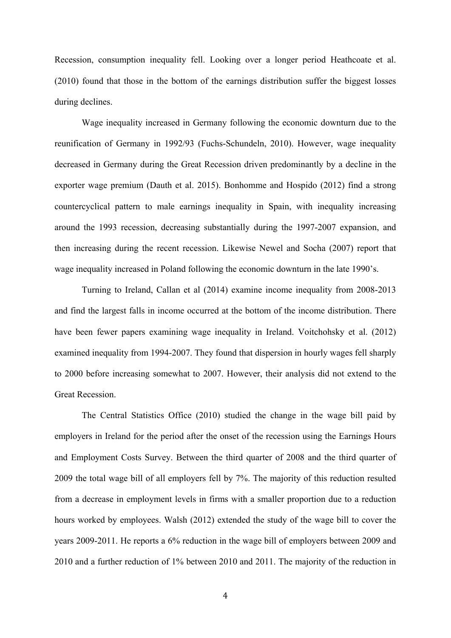Recession, consumption inequality fell. Looking over a longer period Heathcoate et al. (2010) found that those in the bottom of the earnings distribution suffer the biggest losses during declines.

Wage inequality increased in Germany following the economic downturn due to the reunification of Germany in 1992/93 (Fuchs-Schundeln, 2010). However, wage inequality decreased in Germany during the Great Recession driven predominantly by a decline in the exporter wage premium (Dauth et al. 2015). Bonhomme and Hospido (2012) find a strong countercyclical pattern to male earnings inequality in Spain, with inequality increasing around the 1993 recession, decreasing substantially during the 1997-2007 expansion, and then increasing during the recent recession. Likewise Newel and Socha (2007) report that wage inequality increased in Poland following the economic downturn in the late 1990's.

Turning to Ireland, Callan et al (2014) examine income inequality from 2008-2013 and find the largest falls in income occurred at the bottom of the income distribution. There have been fewer papers examining wage inequality in Ireland. Voitchohsky et al. (2012) examined inequality from 1994-2007. They found that dispersion in hourly wages fell sharply to 2000 before increasing somewhat to 2007. However, their analysis did not extend to the Great Recession.

The Central Statistics Office (2010) studied the change in the wage bill paid by employers in Ireland for the period after the onset of the recession using the Earnings Hours and Employment Costs Survey. Between the third quarter of 2008 and the third quarter of 2009 the total wage bill of all employers fell by 7%. The majority of this reduction resulted from a decrease in employment levels in firms with a smaller proportion due to a reduction hours worked by employees. Walsh (2012) extended the study of the wage bill to cover the years 2009-2011. He reports a 6% reduction in the wage bill of employers between 2009 and 2010 and a further reduction of 1% between 2010 and 2011. The majority of the reduction in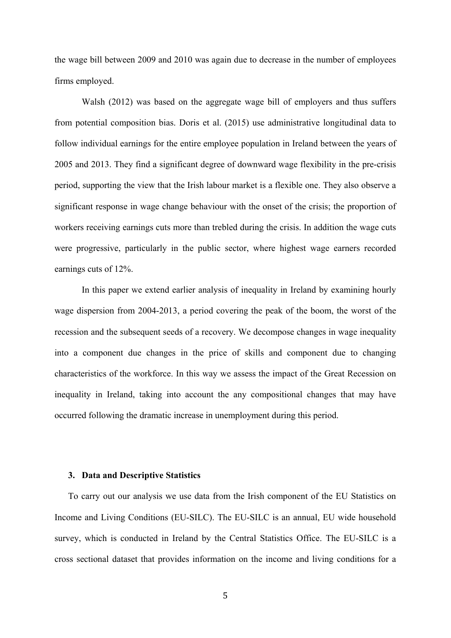the wage bill between 2009 and 2010 was again due to decrease in the number of employees firms employed.

Walsh (2012) was based on the aggregate wage bill of employers and thus suffers from potential composition bias. Doris et al. (2015) use administrative longitudinal data to follow individual earnings for the entire employee population in Ireland between the years of 2005 and 2013. They find a significant degree of downward wage flexibility in the pre-crisis period, supporting the view that the Irish labour market is a flexible one. They also observe a significant response in wage change behaviour with the onset of the crisis; the proportion of workers receiving earnings cuts more than trebled during the crisis. In addition the wage cuts were progressive, particularly in the public sector, where highest wage earners recorded earnings cuts of 12%.

In this paper we extend earlier analysis of inequality in Ireland by examining hourly wage dispersion from 2004-2013, a period covering the peak of the boom, the worst of the recession and the subsequent seeds of a recovery. We decompose changes in wage inequality into a component due changes in the price of skills and component due to changing characteristics of the workforce. In this way we assess the impact of the Great Recession on inequality in Ireland, taking into account the any compositional changes that may have occurred following the dramatic increase in unemployment during this period.

#### **3. Data and Descriptive Statistics**

To carry out our analysis we use data from the Irish component of the EU Statistics on Income and Living Conditions (EU-SILC). The EU-SILC is an annual, EU wide household survey, which is conducted in Ireland by the Central Statistics Office. The EU-SILC is a cross sectional dataset that provides information on the income and living conditions for a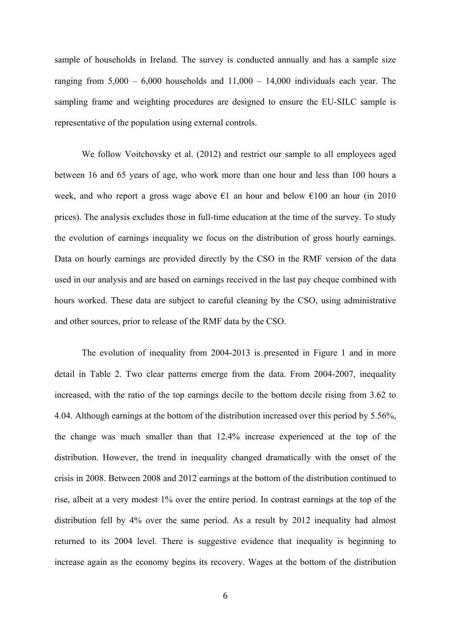sample of households in Ireland. The survey is conducted annually and has a sample size ranging from  $5,000 - 6,000$  households and  $11,000 - 14,000$  individuals each year. The sampling frame and weighting procedures are designed to ensure the EU-SILC sample is representative of the population using external controls.

We follow Voitchovsky et al. (2012) and restrict our sample to all employees aged between 16 and 65 years of age, who work more than one hour and less than 100 hours a week, and who report a gross wage above  $\epsilon$ 1 an hour and below  $\epsilon$ 100 an hour (in 2010 prices). The analysis excludes those in full-time education at the time of the survey. To study the evolution of earnings inequality we focus on the distribution of gross hourly earnings. Data on hourly earnings are provided directly by the CSO in the RMF version of the data used in our analysis and are based on earnings received in the last pay cheque combined with hours worked. These data are subject to careful cleaning by the CSO, using administrative and other sources, prior to release of the RMF data by the CSO.

The evolution of inequality from 2004-2013 is presented in Figure 1 and in more detail in Table 2. Two clear patterns emerge from the data. From 2004-2007, inequality increased, with the ratio of the top earnings decile to the bottom decile rising from 3.62 to 4.04. Although earnings at the bottom of the distribution increased over this period by 5.56%, the change was much smaller than that 12.4% increase experienced at the top of the distribution. However, the trend in inequality changed dramatically with the onset of the crisis in 2008. Between 2008 and 2012 earnings at the bottom of the distribution continued to rise, albeit at a very modest 1% over the entire period. In contrast earnings at the top of the distribution fell by 4% over the same period. As a result by 2012 inequality had almost returned to its 2004 level. There is suggestive evidence that inequality is beginning to increase again as the economy begins its recovery. Wages at the bottom of the distribution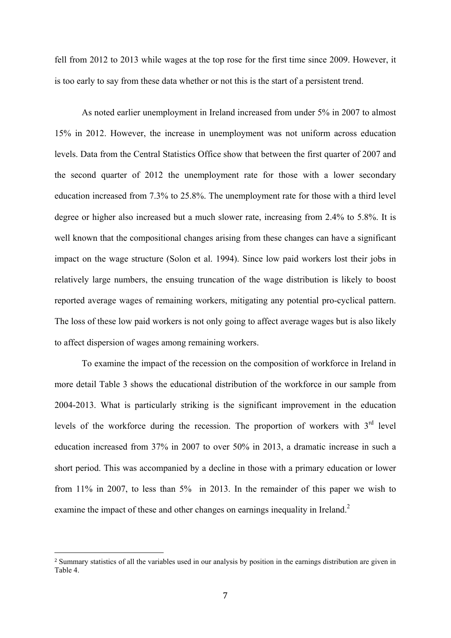fell from 2012 to 2013 while wages at the top rose for the first time since 2009. However, it is too early to say from these data whether or not this is the start of a persistent trend.

As noted earlier unemployment in Ireland increased from under 5% in 2007 to almost 15% in 2012. However, the increase in unemployment was not uniform across education levels. Data from the Central Statistics Office show that between the first quarter of 2007 and the second quarter of 2012 the unemployment rate for those with a lower secondary education increased from 7.3% to 25.8%. The unemployment rate for those with a third level degree or higher also increased but a much slower rate, increasing from 2.4% to 5.8%. It is well known that the compositional changes arising from these changes can have a significant impact on the wage structure (Solon et al. 1994). Since low paid workers lost their jobs in relatively large numbers, the ensuing truncation of the wage distribution is likely to boost reported average wages of remaining workers, mitigating any potential pro-cyclical pattern. The loss of these low paid workers is not only going to affect average wages but is also likely to affect dispersion of wages among remaining workers.

To examine the impact of the recession on the composition of workforce in Ireland in more detail Table 3 shows the educational distribution of the workforce in our sample from 2004-2013. What is particularly striking is the significant improvement in the education levels of the workforce during the recession. The proportion of workers with  $3<sup>rd</sup>$  level education increased from 37% in 2007 to over 50% in 2013, a dramatic increase in such a short period. This was accompanied by a decline in those with a primary education or lower from 11% in 2007, to less than 5% in 2013. In the remainder of this paper we wish to examine the impact of these and other changes on earnings inequality in Ireland.<sup>2</sup>

<sup>2</sup> Summary statistics of all the variables used in our analysis by position in the earnings distribution are given in Table 4.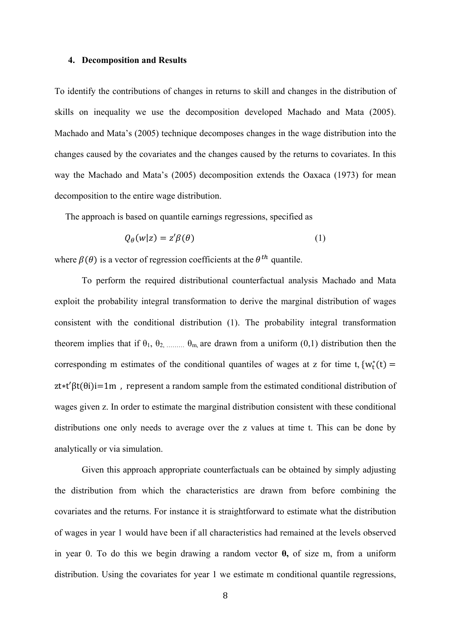#### **4. Decomposition and Results**

To identify the contributions of changes in returns to skill and changes in the distribution of skills on inequality we use the decomposition developed Machado and Mata (2005). Machado and Mata's (2005) technique decomposes changes in the wage distribution into the changes caused by the covariates and the changes caused by the returns to covariates. In this way the Machado and Mata's (2005) decomposition extends the Oaxaca (1973) for mean decomposition to the entire wage distribution.

The approach is based on quantile earnings regressions, specified as

$$
Q_{\theta}(w|z) = z'\beta(\theta) \tag{1}
$$

where  $\beta(\theta)$  is a vector of regression coefficients at the  $\theta^{th}$  quantile.

To perform the required distributional counterfactual analysis Machado and Mata exploit the probability integral transformation to derive the marginal distribution of wages consistent with the conditional distribution (1). The probability integral transformation theorem implies that if  $\theta_1$ ,  $\theta_2$ , ...,  $\theta_m$  are drawn from a uniform  $(0,1)$  distribution then the corresponding m estimates of the conditional quantiles of wages at z for time t,  $\{w_t^*(t) =$  $z t * t' \beta t(\theta i) i = 1m$ , represent a random sample from the estimated conditional distribution of wages given z. In order to estimate the marginal distribution consistent with these conditional distributions one only needs to average over the z values at time t. This can be done by analytically or via simulation.

Given this approach appropriate counterfactuals can be obtained by simply adjusting the distribution from which the characteristics are drawn from before combining the covariates and the returns. For instance it is straightforward to estimate what the distribution of wages in year 1 would have been if all characteristics had remained at the levels observed in year 0. To do this we begin drawing a random vector **θ,** of size m, from a uniform distribution. Using the covariates for year 1 we estimate m conditional quantile regressions,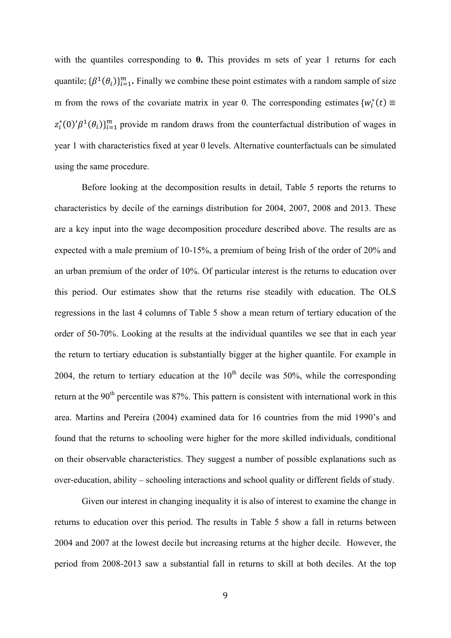with the quantiles corresponding to **θ.** This provides m sets of year 1 returns for each quantile;  $\{\beta^1(\theta_i)\}_{i=1}^m$ . Finally we combine these point estimates with a random sample of size m from the rows of the covariate matrix in year 0. The corresponding estimates  $\{w_i^*(t) \equiv$  $z_i^*(0)'\beta^1(\theta_i)$ <sub>i-1</sub> provide m random draws from the counterfactual distribution of wages in year 1 with characteristics fixed at year 0 levels. Alternative counterfactuals can be simulated using the same procedure.

Before looking at the decomposition results in detail, Table 5 reports the returns to characteristics by decile of the earnings distribution for 2004, 2007, 2008 and 2013. These are a key input into the wage decomposition procedure described above. The results are as expected with a male premium of 10-15%, a premium of being Irish of the order of 20% and an urban premium of the order of 10%. Of particular interest is the returns to education over this period. Our estimates show that the returns rise steadily with education. The OLS regressions in the last 4 columns of Table 5 show a mean return of tertiary education of the order of 50-70%. Looking at the results at the individual quantiles we see that in each year the return to tertiary education is substantially bigger at the higher quantile. For example in 2004, the return to tertiary education at the  $10<sup>th</sup>$  decile was 50%, while the corresponding return at the 90<sup>th</sup> percentile was 87%. This pattern is consistent with international work in this area. Martins and Pereira (2004) examined data for 16 countries from the mid 1990's and found that the returns to schooling were higher for the more skilled individuals, conditional on their observable characteristics. They suggest a number of possible explanations such as over-education, ability – schooling interactions and school quality or different fields of study.

Given our interest in changing inequality it is also of interest to examine the change in returns to education over this period. The results in Table 5 show a fall in returns between 2004 and 2007 at the lowest decile but increasing returns at the higher decile. However, the period from 2008-2013 saw a substantial fall in returns to skill at both deciles. At the top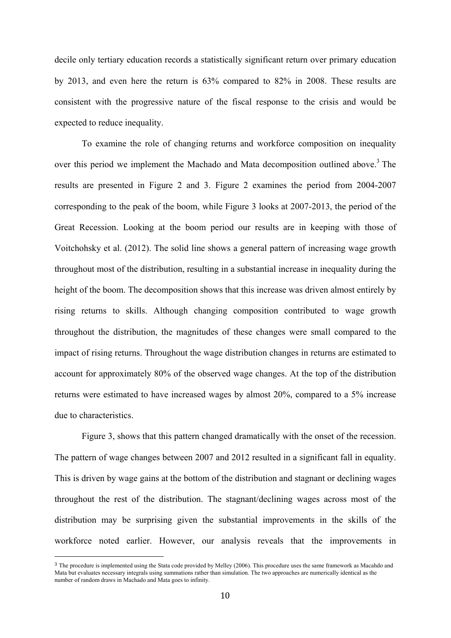decile only tertiary education records a statistically significant return over primary education by 2013, and even here the return is 63% compared to 82% in 2008. These results are consistent with the progressive nature of the fiscal response to the crisis and would be expected to reduce inequality.

To examine the role of changing returns and workforce composition on inequality over this period we implement the Machado and Mata decomposition outlined above.<sup>3</sup> The results are presented in Figure 2 and 3. Figure 2 examines the period from 2004-2007 corresponding to the peak of the boom, while Figure 3 looks at 2007-2013, the period of the Great Recession. Looking at the boom period our results are in keeping with those of Voitchohsky et al. (2012). The solid line shows a general pattern of increasing wage growth throughout most of the distribution, resulting in a substantial increase in inequality during the height of the boom. The decomposition shows that this increase was driven almost entirely by rising returns to skills. Although changing composition contributed to wage growth throughout the distribution, the magnitudes of these changes were small compared to the impact of rising returns. Throughout the wage distribution changes in returns are estimated to account for approximately 80% of the observed wage changes. At the top of the distribution returns were estimated to have increased wages by almost 20%, compared to a 5% increase due to characteristics.

Figure 3, shows that this pattern changed dramatically with the onset of the recession. The pattern of wage changes between 2007 and 2012 resulted in a significant fall in equality. This is driven by wage gains at the bottom of the distribution and stagnant or declining wages throughout the rest of the distribution. The stagnant/declining wages across most of the distribution may be surprising given the substantial improvements in the skills of the workforce noted earlier. However, our analysis reveals that the improvements in

<sup>&</sup>lt;sup>3</sup> The procedure is implemented using the Stata code provided by Melley (2006). This procedure uses the same framework as Macahdo and Mata but evaluates necessary integrals using summations rather than simulation. The two approaches are numerically identical as the number of random draws in Machado and Mata goes to infinity.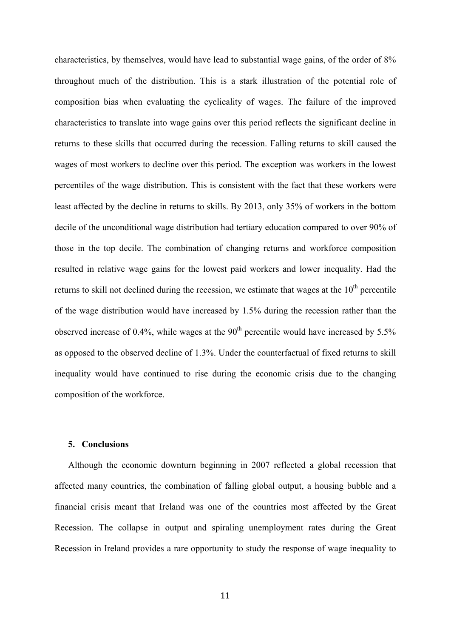characteristics, by themselves, would have lead to substantial wage gains, of the order of 8% throughout much of the distribution. This is a stark illustration of the potential role of composition bias when evaluating the cyclicality of wages. The failure of the improved characteristics to translate into wage gains over this period reflects the significant decline in returns to these skills that occurred during the recession. Falling returns to skill caused the wages of most workers to decline over this period. The exception was workers in the lowest percentiles of the wage distribution. This is consistent with the fact that these workers were least affected by the decline in returns to skills. By 2013, only 35% of workers in the bottom decile of the unconditional wage distribution had tertiary education compared to over 90% of those in the top decile. The combination of changing returns and workforce composition resulted in relative wage gains for the lowest paid workers and lower inequality. Had the returns to skill not declined during the recession, we estimate that wages at the  $10<sup>th</sup>$  percentile of the wage distribution would have increased by 1.5% during the recession rather than the observed increase of 0.4%, while wages at the  $90<sup>th</sup>$  percentile would have increased by 5.5% as opposed to the observed decline of 1.3%. Under the counterfactual of fixed returns to skill inequality would have continued to rise during the economic crisis due to the changing composition of the workforce.

#### **5. Conclusions**

Although the economic downturn beginning in 2007 reflected a global recession that affected many countries, the combination of falling global output, a housing bubble and a financial crisis meant that Ireland was one of the countries most affected by the Great Recession. The collapse in output and spiraling unemployment rates during the Great Recession in Ireland provides a rare opportunity to study the response of wage inequality to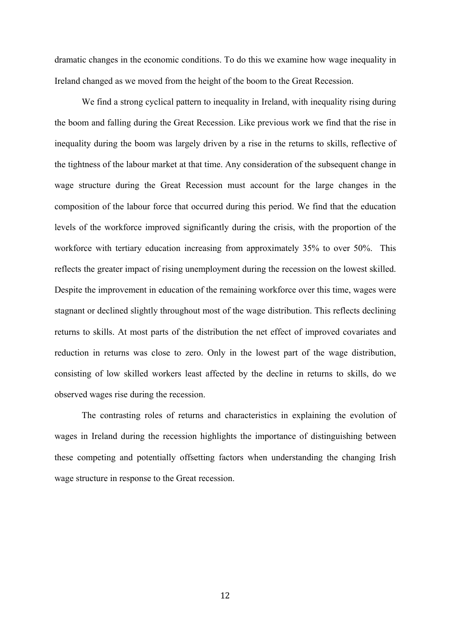dramatic changes in the economic conditions. To do this we examine how wage inequality in Ireland changed as we moved from the height of the boom to the Great Recession.

We find a strong cyclical pattern to inequality in Ireland, with inequality rising during the boom and falling during the Great Recession. Like previous work we find that the rise in inequality during the boom was largely driven by a rise in the returns to skills, reflective of the tightness of the labour market at that time. Any consideration of the subsequent change in wage structure during the Great Recession must account for the large changes in the composition of the labour force that occurred during this period. We find that the education levels of the workforce improved significantly during the crisis, with the proportion of the workforce with tertiary education increasing from approximately 35% to over 50%. This reflects the greater impact of rising unemployment during the recession on the lowest skilled. Despite the improvement in education of the remaining workforce over this time, wages were stagnant or declined slightly throughout most of the wage distribution. This reflects declining returns to skills. At most parts of the distribution the net effect of improved covariates and reduction in returns was close to zero. Only in the lowest part of the wage distribution, consisting of low skilled workers least affected by the decline in returns to skills, do we observed wages rise during the recession.

The contrasting roles of returns and characteristics in explaining the evolution of wages in Ireland during the recession highlights the importance of distinguishing between these competing and potentially offsetting factors when understanding the changing Irish wage structure in response to the Great recession.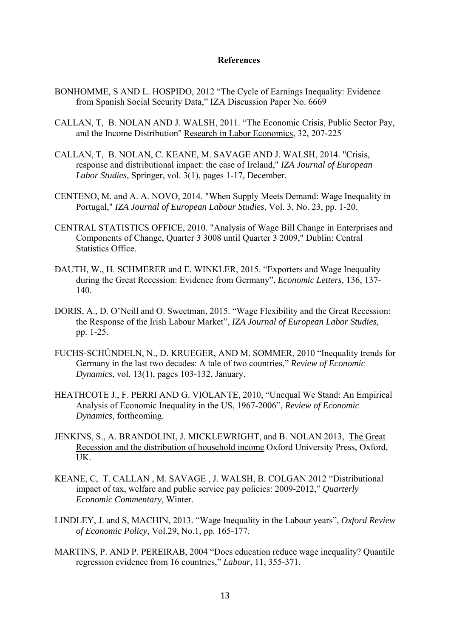#### **References**

- BONHOMME, S AND L. HOSPIDO, 2012 "The Cycle of Earnings Inequality: Evidence from Spanish Social Security Data," IZA Discussion Paper No. 6669
- CALLAN, T, B. NOLAN AND J. WALSH, 2011. "The Economic Crisis, Public Sector Pay, and the Income Distribution" Research in Labor Economics, 32, 207-225
- CALLAN, T, B. NOLAN, C. KEANE, M. SAVAGE AND J. WALSH, 2014. "Crisis, response and distributional impact: the case of Ireland," *IZA Journal of European Labor Studies*, Springer, vol. 3(1), pages 1-17, December.
- CENTENO, M. and A. A. NOVO, 2014. "When Supply Meets Demand: Wage Inequality in Portugal," *IZA Journal of European Labour Studies*, Vol. 3, No. 23, pp. 1-20.
- CENTRAL STATISTICS OFFICE, 2010. "Analysis of Wage Bill Change in Enterprises and Components of Change, Quarter 3 3008 until Quarter 3 2009," Dublin: Central Statistics Office.
- DAUTH, W., H. SCHMERER and E. WINKLER, 2015. "Exporters and Wage Inequality during the Great Recession: Evidence from Germany", *Economic Letters,* 136, 137- 140.
- DORIS, A., D. O'Neill and O. Sweetman, 2015. "Wage Flexibility and the Great Recession: the Response of the Irish Labour Market", *IZA Journal of European Labor Studies,* pp. 1-25.
- FUCHS-SCHÜNDELN, N., D. KRUEGER, AND M. SOMMER, 2010 "Inequality trends for Germany in the last two decades: A tale of two countries," *Review of Economic Dynamics*, vol. 13(1), pages 103-132, January.
- HEATHCOTE J., F. PERRI AND G. VIOLANTE, 2010, "Unequal We Stand: An Empirical Analysis of Economic Inequality in the US, 1967-2006", *Review of Economic Dynamics*, forthcoming.
- JENKINS, S., A. BRANDOLINI, J. MICKLEWRIGHT, and B. NOLAN 2013, The Great Recession and the distribution of household income Oxford University Press, Oxford, UK.
- KEANE, C, T. CALLAN , M. SAVAGE , J. WALSH, B. COLGAN 2012 "Distributional impact of tax, welfare and public service pay policies: 2009-2012," *Quarterly Economic Commentary*, Winter.
- LINDLEY, J. and S, MACHIN, 2013. "Wage Inequality in the Labour years", *Oxford Review of Economic Policy,* Vol.29, No.1, pp. 165-177.
- MARTINS, P. AND P. PEREIRAB, 2004 "Does education reduce wage inequality? Quantile regression evidence from 16 countries," *Labour*, 11, 355-371.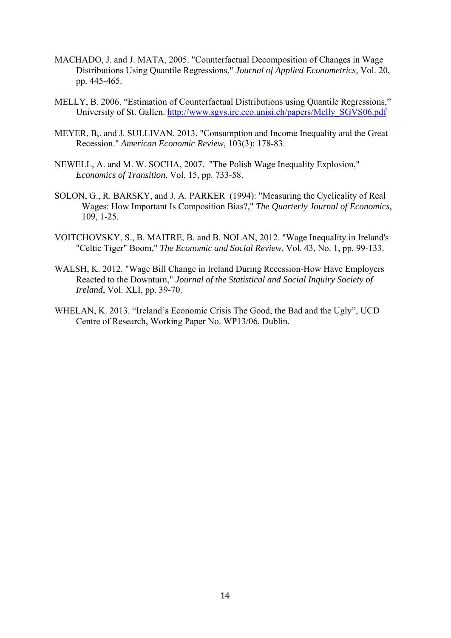- MACHADO, J. and J. MATA, 2005. "Counterfactual Decomposition of Changes in Wage Distributions Using Quantile Regressions," *Journal of Applied Econometrics,* Vol. 20, pp. 445-465.
- MELLY, B. 2006. "Estimation of Counterfactual Distributions using Quantile Regressions," University of St. Gallen. http://www.sgvs.ire.eco.unisi.ch/papers/Melly\_SGVS06.pdf
- MEYER, B,. and J. SULLIVAN. 2013. "Consumption and Income Inequality and the Great Recession." *American Economic Review*, 103(3): 178-83.
- NEWELL, A. and M. W. SOCHA, 2007. "The Polish Wage Inequality Explosion," *Economics of Transition*, Vol. 15, pp. 733-58.
- SOLON, G., R. BARSKY, and J. A. PARKER (1994): "Measuring the Cyclicality of Real Wages: How Important Is Composition Bias?," *The Quarterly Journal of Economics*, 109, 1-25.
- VOITCHOVSKY, S., B. MAITRE, B. and B. NOLAN, 2012. "Wage Inequality in Ireland's "Celtic Tiger" Boom," *The Economic and Social Review*, Vol. 43, No. 1, pp. 99-133.
- WALSH, K. 2012. "Wage Bill Change in Ireland During Recession-How Have Employers Reacted to the Downturn," *Journal of the Statistical and Social Inquiry Society of Ireland*, Vol. XLI, pp. 39-70.
- WHELAN, K. 2013. "Ireland's Economic Crisis The Good, the Bad and the Ugly", UCD Centre of Research, Working Paper No. WP13/06, Dublin.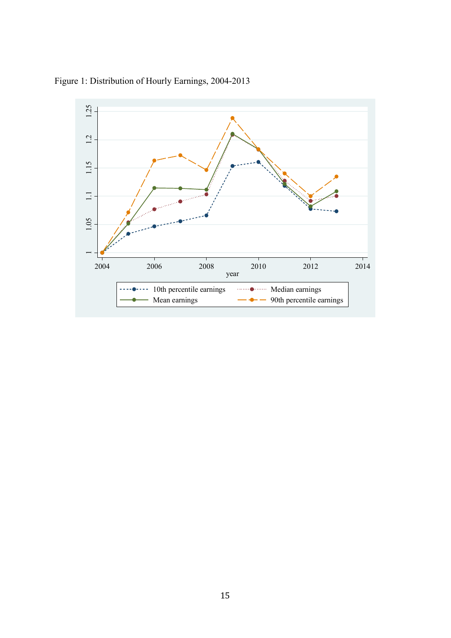

Figure 1: Distribution of Hourly Earnings, 2004-2013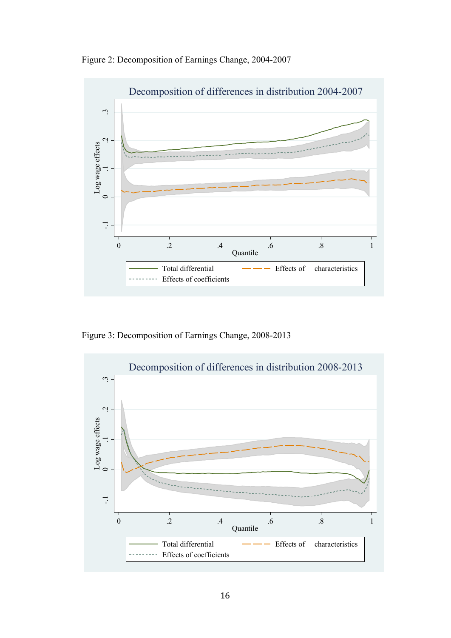Figure 2: Decomposition of Earnings Change, 2004-2007



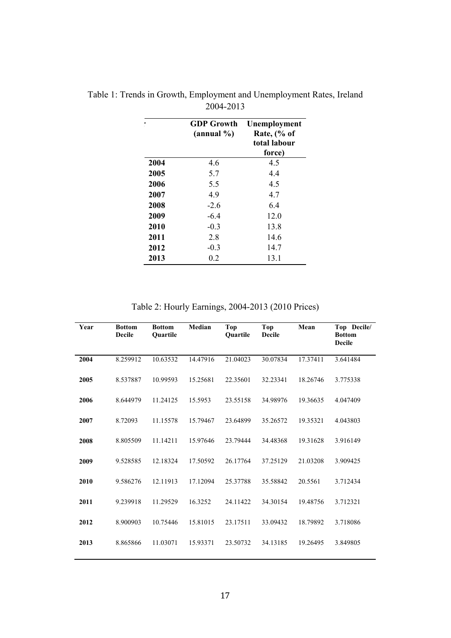|      | <b>GDP</b> Growth<br>(annual %) | Unemployment<br>Rate, $\frac{6}{6}$ of<br>total labour<br>force) |
|------|---------------------------------|------------------------------------------------------------------|
| 2004 | 4.6                             | 4.5                                                              |
| 2005 | 5.7                             | 4.4                                                              |
| 2006 | 5.5                             | 4.5                                                              |
| 2007 | 4.9                             | 4.7                                                              |
| 2008 | $-26$                           | 6.4                                                              |
| 2009 | $-6.4$                          | 12.0                                                             |
| 2010 | $-0.3$                          | 13.8                                                             |
| 2011 | 2.8                             | 14.6                                                             |
| 2012 | $-0.3$                          | 14.7                                                             |
| 2013 | 0.2                             | 13.1                                                             |

Table 1: Trends in Growth, Employment and Unemployment Rates, Ireland 2004-2013

Table 2: Hourly Earnings, 2004-2013 (2010 Prices)

| Year | <b>Bottom</b><br><b>Decile</b> | <b>Bottom</b><br>Ouartile | Median   | <b>Top</b><br>Quartile | <b>Top</b><br><b>Decile</b> | Mean     | Top Decile/<br><b>Bottom</b><br><b>Decile</b> |  |
|------|--------------------------------|---------------------------|----------|------------------------|-----------------------------|----------|-----------------------------------------------|--|
| 2004 | 8.259912                       | 10.63532                  | 14.47916 | 21.04023               | 30.07834                    | 17.37411 | 3.641484                                      |  |
| 2005 | 8.537887                       | 10.99593                  | 15.25681 | 22.35601               | 32.23341                    | 18.26746 | 3.775338                                      |  |
| 2006 | 8.644979                       | 11.24125                  | 15.5953  | 23.55158               | 34.98976                    | 19.36635 | 4.047409                                      |  |
| 2007 | 8.72093                        | 11.15578                  | 15.79467 | 23.64899               | 35.26572                    | 19.35321 | 4.043803                                      |  |
| 2008 | 8.805509                       | 11.14211                  | 15.97646 | 23.79444               | 34.48368                    | 19.31628 | 3.916149                                      |  |
| 2009 | 9.528585                       | 12.18324                  | 17.50592 | 26.17764               | 37.25129                    | 21.03208 | 3.909425                                      |  |
| 2010 | 9.586276                       | 12.11913                  | 17.12094 | 25.37788               | 35.58842                    | 20.5561  | 3.712434                                      |  |
| 2011 | 9.239918                       | 11.29529                  | 16.3252  | 24.11422               | 34.30154                    | 19.48756 | 3.712321                                      |  |
| 2012 | 8.900903                       | 10.75446                  | 15.81015 | 23.17511               | 33.09432                    | 18.79892 | 3.718086                                      |  |
| 2013 | 8.865866                       | 11.03071                  | 15.93371 | 23.50732               | 34.13185                    | 19.26495 | 3.849805                                      |  |
|      |                                |                           |          |                        |                             |          |                                               |  |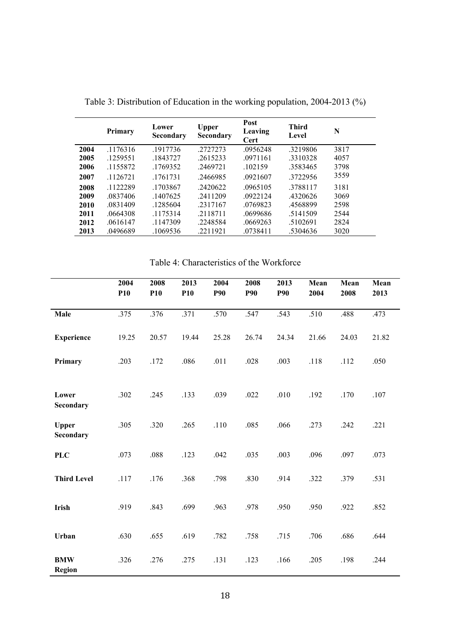|      | Primary  | Lower<br><b>Secondary</b> | Upper<br>Secondary | Post<br>Leaving<br>Cert | <b>Third</b><br>Level | N    |
|------|----------|---------------------------|--------------------|-------------------------|-----------------------|------|
| 2004 | .1176316 | .1917736                  | .2727273           | .0956248                | .3219806              | 3817 |
| 2005 | .1259551 | .1843727                  | .2615233           | .0971161                | .3310328              | 4057 |
| 2006 | .1155872 | .1769352                  | .2469721           | .102159                 | .3583465              | 3798 |
| 2007 | .1126721 | .1761731                  | .2466985           | .0921607                | 3722956               | 3559 |
| 2008 | .1122289 | .1703867                  | .2420622           | .0965105                | .3788117              | 3181 |
| 2009 | .0837406 | .1407625                  | .2411209           | .0922124                | .4320626              | 3069 |
| 2010 | .0831409 | .1285604                  | .2317167           | .0769823                | .4568899              | 2598 |
| 2011 | .0664308 | .1175314                  | .2118711           | .0699686                | .5141509              | 2544 |
| 2012 | .0616147 | .1147309                  | .2248584           | .0669263                | .5102691              | 2824 |
| 2013 | .0496689 | .1069536                  | .2211921           | .0738411                | .5304636              | 3020 |

Table 3: Distribution of Education in the working population, 2004-2013 (%)

Table 4: Characteristics of the Workforce

|                      | 2004<br>P <sub>10</sub> | 2008<br><b>P10</b> | 2013<br><b>P10</b> | 2004<br><b>P90</b> | 2008<br><b>P90</b> | 2013<br><b>P90</b> | Mean<br>2004 | Mean<br>2008 | Mean<br>2013 |
|----------------------|-------------------------|--------------------|--------------------|--------------------|--------------------|--------------------|--------------|--------------|--------------|
| Male                 | .375                    | .376               | .371               | .570               | .547               | .543               | .510         | .488         | .473         |
| <b>Experience</b>    | 19.25                   | 20.57              | 19.44              | 25.28              | 26.74              | 24.34              | 21.66        | 24.03        | 21.82        |
| Primary              | .203                    | .172               | .086               | .011               | .028               | .003               | .118         | .112         | .050         |
| Lower<br>Secondary   | .302                    | .245               | .133               | .039               | .022               | .010               | .192         | .170         | .107         |
| Upper<br>Secondary   | .305                    | .320               | .265               | .110               | .085               | .066               | .273         | .242         | .221         |
| <b>PLC</b>           | .073                    | .088               | .123               | .042               | .035               | .003               | .096         | .097         | .073         |
| <b>Third Level</b>   | .117                    | .176               | .368               | .798               | .830               | .914               | .322         | .379         | .531         |
| Irish                | .919                    | .843               | .699               | .963               | .978               | .950               | .950         | .922         | .852         |
| Urban                | .630                    | .655               | .619               | .782               | .758               | .715               | .706         | .686         | .644         |
| <b>BMW</b><br>Region | .326                    | .276               | .275               | .131               | .123               | .166               | .205         | .198         | .244         |